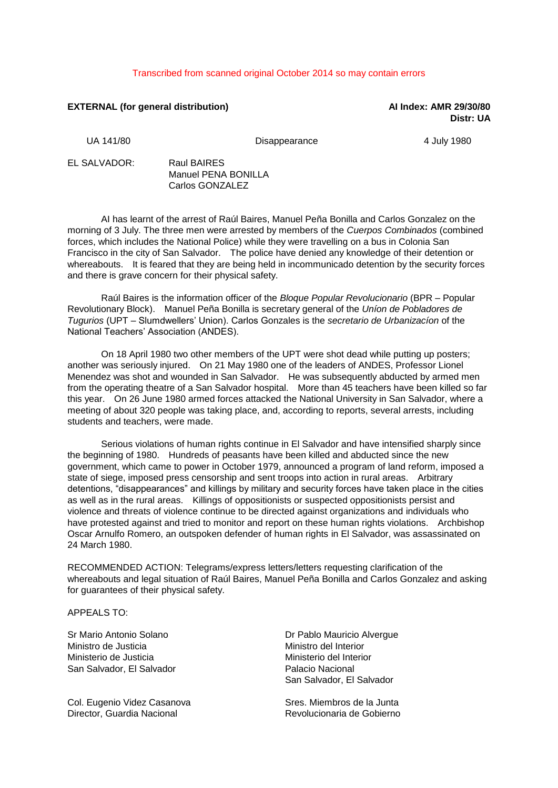## Transcribed from scanned original October 2014 so may contain errors

## **EXTERNAL (for general distribution) AI Index: AMR 29/30/80**

**Distr: UA**

UA 141/80 **Disappearance** 4 July 1980

EL SALVADOR: Raul BAIRES

Manuel PENA BONILLA Carlos GONZALEZ

AI has learnt of the arrest of Raúl Baires, Manuel Peña Bonilla and Carlos Gonzalez on the morning of 3 July. The three men were arrested by members of the *Cuerpos Combinados* (combined forces, which includes the National Police) while they were travelling on a bus in Colonia San Francisco in the city of San Salvador. The police have denied any knowledge of their detention or whereabouts. It is feared that they are being held in incommunicado detention by the security forces and there is grave concern for their physical safety.

Raúl Baires is the information officer of the *Bloque Popular Revolucionario* (BPR – Popular Revolutionary Block). Manuel Peña Bonilla is secretary general of the *Uníon de Pobladores de Tugurios* (UPT – Slumdwellers' Union). Carlos Gonzales is the *secretario de Urbanizacíon* of the National Teachers' Association (ANDES).

On 18 April 1980 two other members of the UPT were shot dead while putting up posters; another was seriously injured. On 21 May 1980 one of the leaders of ANDES, Professor Lionel Menendez was shot and wounded in San Salvador. He was subsequently abducted by armed men from the operating theatre of a San Salvador hospital. More than 45 teachers have been killed so far this year. On 26 June 1980 armed forces attacked the National University in San Salvador, where a meeting of about 320 people was taking place, and, according to reports, several arrests, including students and teachers, were made.

Serious violations of human rights continue in El Salvador and have intensified sharply since the beginning of 1980. Hundreds of peasants have been killed and abducted since the new government, which came to power in October 1979, announced a program of land reform, imposed a state of siege, imposed press censorship and sent troops into action in rural areas. Arbitrary detentions, "disappearances" and killings by military and security forces have taken place in the cities as well as in the rural areas. Killings of oppositionists or suspected oppositionists persist and violence and threats of violence continue to be directed against organizations and individuals who have protested against and tried to monitor and report on these human rights violations. Archbishop Oscar Arnulfo Romero, an outspoken defender of human rights in El Salvador, was assassinated on 24 March 1980.

RECOMMENDED ACTION: Telegrams/express letters/letters requesting clarification of the whereabouts and legal situation of Raúl Baires, Manuel Peña Bonilla and Carlos Gonzalez and asking for guarantees of their physical safety.

APPEALS TO:

Sr Mario Antonio Solano Ministro de Justicia Ministerio de Justicia San Salvador, El Salvador

Col. Eugenio Videz Casanova Director, Guardia Nacional

Dr Pablo Mauricio Alvergue Ministro del Interior Ministerio del Interior Palacio Nacional San Salvador, El Salvador

Sres. Miembros de la Junta Revolucionaria de Gobierno